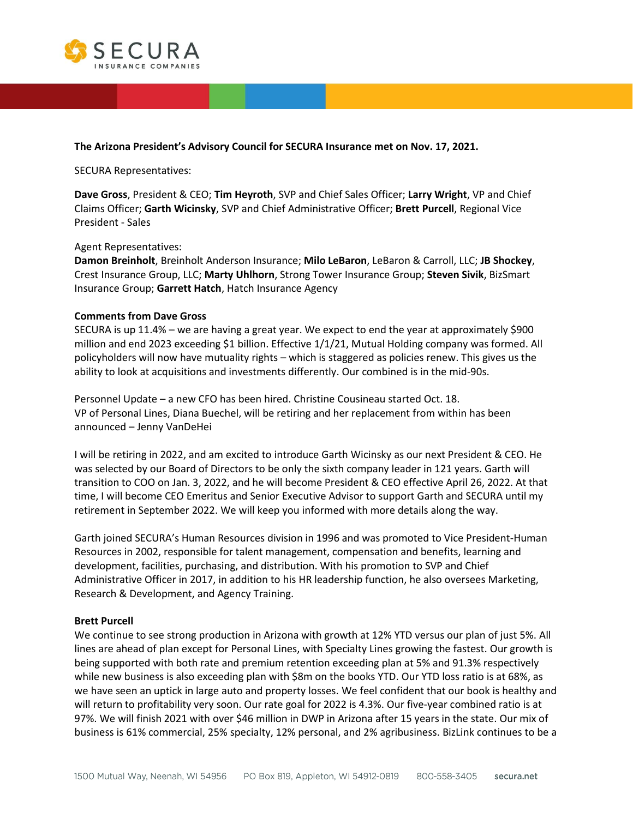

#### **The Arizona President's Advisory Council for SECURA Insurance met on Nov. 17, 2021.**

SECURA Representatives:

**Dave Gross**, President & CEO; **Tim Heyroth**, SVP and Chief Sales Officer; **Larry Wright**, VP and Chief Claims Officer; **Garth Wicinsky**, SVP and Chief Administrative Officer; **Brett Purcell**, Regional Vice President - Sales

#### Agent Representatives:

**Damon Breinholt**, Breinholt Anderson Insurance; **Milo LeBaron**, LeBaron & Carroll, LLC; **JB Shockey**, Crest Insurance Group, LLC; **Marty Uhlhorn**, Strong Tower Insurance Group; **Steven Sivik**, BizSmart Insurance Group; **Garrett Hatch**, Hatch Insurance Agency

#### **Comments from Dave Gross**

SECURA is up 11.4% – we are having a great year. We expect to end the year at approximately \$900 million and end 2023 exceeding \$1 billion. Effective 1/1/21, Mutual Holding company was formed. All policyholders will now have mutuality rights – which is staggered as policies renew. This gives us the ability to look at acquisitions and investments differently. Our combined is in the mid-90s.

Personnel Update – a new CFO has been hired. Christine Cousineau started Oct. 18. VP of Personal Lines, Diana Buechel, will be retiring and her replacement from within has been announced – Jenny VanDeHei

I will be retiring in 2022, and am excited to introduce Garth Wicinsky as our next President & CEO. He was selected by our Board of Directors to be only the sixth company leader in 121 years. Garth will transition to COO on Jan. 3, 2022, and he will become President & CEO effective April 26, 2022. At that time, I will become CEO Emeritus and Senior Executive Advisor to support Garth and SECURA until my retirement in September 2022. We will keep you informed with more details along the way.

Garth joined SECURA's Human Resources division in 1996 and was promoted to Vice President-Human Resources in 2002, responsible for talent management, compensation and benefits, learning and development, facilities, purchasing, and distribution. With his promotion to SVP and Chief Administrative Officer in 2017, in addition to his HR leadership function, he also oversees Marketing, Research & Development, and Agency Training.

#### **Brett Purcell**

We continue to see strong production in Arizona with growth at 12% YTD versus our plan of just 5%. All lines are ahead of plan except for Personal Lines, with Specialty Lines growing the fastest. Our growth is being supported with both rate and premium retention exceeding plan at 5% and 91.3% respectively while new business is also exceeding plan with \$8m on the books YTD. Our YTD loss ratio is at 68%, as we have seen an uptick in large auto and property losses. We feel confident that our book is healthy and will return to profitability very soon. Our rate goal for 2022 is 4.3%. Our five-year combined ratio is at 97%. We will finish 2021 with over \$46 million in DWP in Arizona after 15 years in the state. Our mix of business is 61% commercial, 25% specialty, 12% personal, and 2% agribusiness. BizLink continues to be a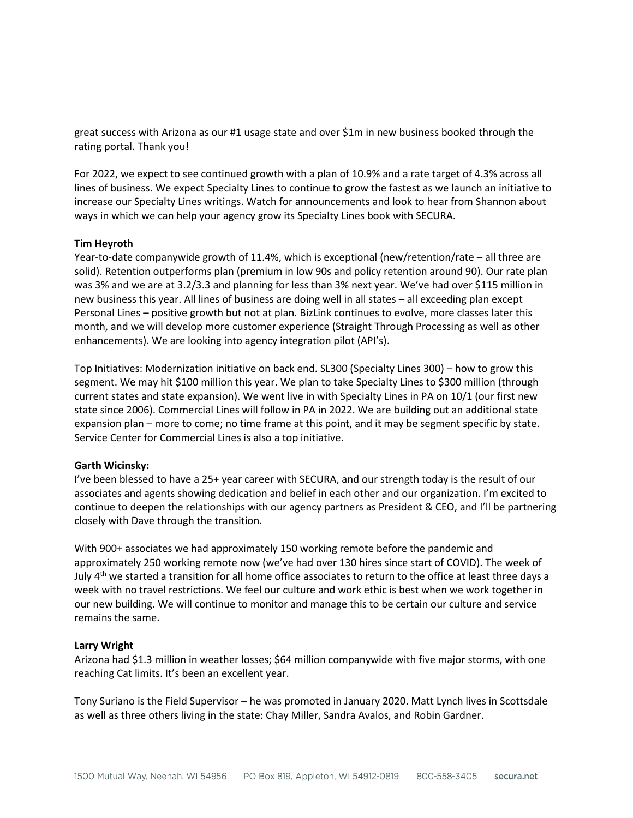great success with Arizona as our #1 usage state and over \$1m in new business booked through the rating portal. Thank you!

For 2022, we expect to see continued growth with a plan of 10.9% and a rate target of 4.3% across all lines of business. We expect Specialty Lines to continue to grow the fastest as we launch an initiative to increase our Specialty Lines writings. Watch for announcements and look to hear from Shannon about ways in which we can help your agency grow its Specialty Lines book with SECURA.

#### **Tim Heyroth**

Year-to-date companywide growth of 11.4%, which is exceptional (new/retention/rate – all three are solid). Retention outperforms plan (premium in low 90s and policy retention around 90). Our rate plan was 3% and we are at 3.2/3.3 and planning for less than 3% next year. We've had over \$115 million in new business this year. All lines of business are doing well in all states – all exceeding plan except Personal Lines – positive growth but not at plan. BizLink continues to evolve, more classes later this month, and we will develop more customer experience (Straight Through Processing as well as other enhancements). We are looking into agency integration pilot (API's).

Top Initiatives: Modernization initiative on back end. SL300 (Specialty Lines 300) – how to grow this segment. We may hit \$100 million this year. We plan to take Specialty Lines to \$300 million (through current states and state expansion). We went live in with Specialty Lines in PA on 10/1 (our first new state since 2006). Commercial Lines will follow in PA in 2022. We are building out an additional state expansion plan – more to come; no time frame at this point, and it may be segment specific by state. Service Center for Commercial Lines is also a top initiative.

#### **Garth Wicinsky:**

I've been blessed to have a 25+ year career with SECURA, and our strength today is the result of our associates and agents showing dedication and belief in each other and our organization. I'm excited to continue to deepen the relationships with our agency partners as President & CEO, and I'll be partnering closely with Dave through the transition.

With 900+ associates we had approximately 150 working remote before the pandemic and approximately 250 working remote now (we've had over 130 hires since start of COVID). The week of July 4<sup>th</sup> we started a transition for all home office associates to return to the office at least three days a week with no travel restrictions. We feel our culture and work ethic is best when we work together in our new building. We will continue to monitor and manage this to be certain our culture and service remains the same.

#### **Larry Wright**

Arizona had \$1.3 million in weather losses; \$64 million companywide with five major storms, with one reaching Cat limits. It's been an excellent year.

Tony Suriano is the Field Supervisor – he was promoted in January 2020. Matt Lynch lives in Scottsdale as well as three others living in the state: Chay Miller, Sandra Avalos, and Robin Gardner.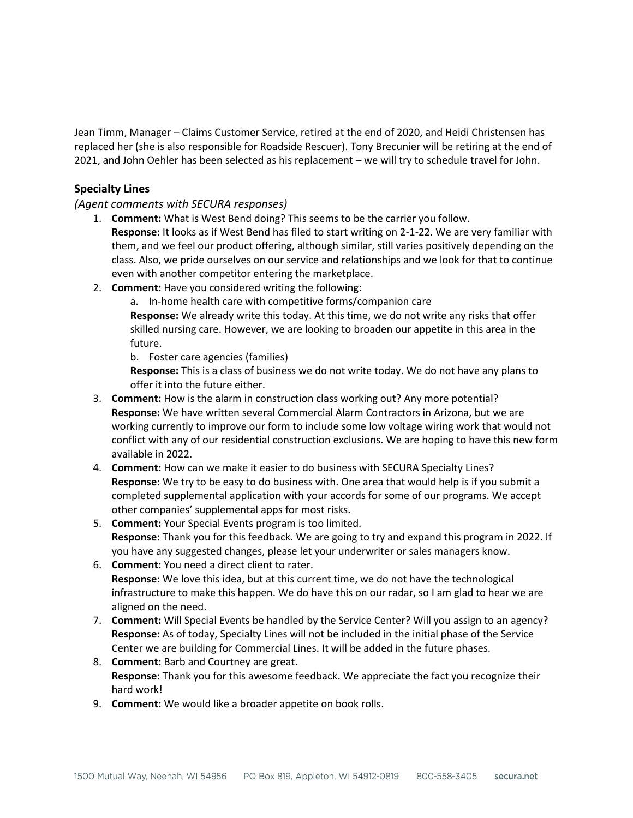Jean Timm, Manager – Claims Customer Service, retired at the end of 2020, and Heidi Christensen has replaced her (she is also responsible for Roadside Rescuer). Tony Brecunier will be retiring at the end of 2021, and John Oehler has been selected as his replacement – we will try to schedule travel for John.

## **Specialty Lines**

*(Agent comments with SECURA responses)*

- 1. **Comment:** What is West Bend doing? This seems to be the carrier you follow. **Response:** It looks as if West Bend has filed to start writing on 2-1-22. We are very familiar with them, and we feel our product offering, although similar, still varies positively depending on the class. Also, we pride ourselves on our service and relationships and we look for that to continue even with another competitor entering the marketplace.
- 2. **Comment:** Have you considered writing the following:
	- a. In-home health care with competitive forms/companion care

**Response:** We already write this today. At this time, we do not write any risks that offer skilled nursing care. However, we are looking to broaden our appetite in this area in the future.

b. Foster care agencies (families)

**Response:** This is a class of business we do not write today. We do not have any plans to offer it into the future either.

- 3. **Comment:** How is the alarm in construction class working out? Any more potential? **Response:** We have written several Commercial Alarm Contractors in Arizona, but we are working currently to improve our form to include some low voltage wiring work that would not conflict with any of our residential construction exclusions. We are hoping to have this new form available in 2022.
- 4. **Comment:** How can we make it easier to do business with SECURA Specialty Lines? **Response:** We try to be easy to do business with. One area that would help is if you submit a completed supplemental application with your accords for some of our programs. We accept other companies' supplemental apps for most risks.
- 5. **Comment:** Your Special Events program is too limited. **Response:** Thank you for this feedback. We are going to try and expand this program in 2022. If you have any suggested changes, please let your underwriter or sales managers know.
- 6. **Comment:** You need a direct client to rater. **Response:** We love this idea, but at this current time, we do not have the technological infrastructure to make this happen. We do have this on our radar, so I am glad to hear we are aligned on the need.
- 7. **Comment:** Will Special Events be handled by the Service Center? Will you assign to an agency? **Response:** As of today, Specialty Lines will not be included in the initial phase of the Service Center we are building for Commercial Lines. It will be added in the future phases.
- 8. **Comment:** Barb and Courtney are great. **Response:** Thank you for this awesome feedback. We appreciate the fact you recognize their hard work!
- 9. **Comment:** We would like a broader appetite on book rolls.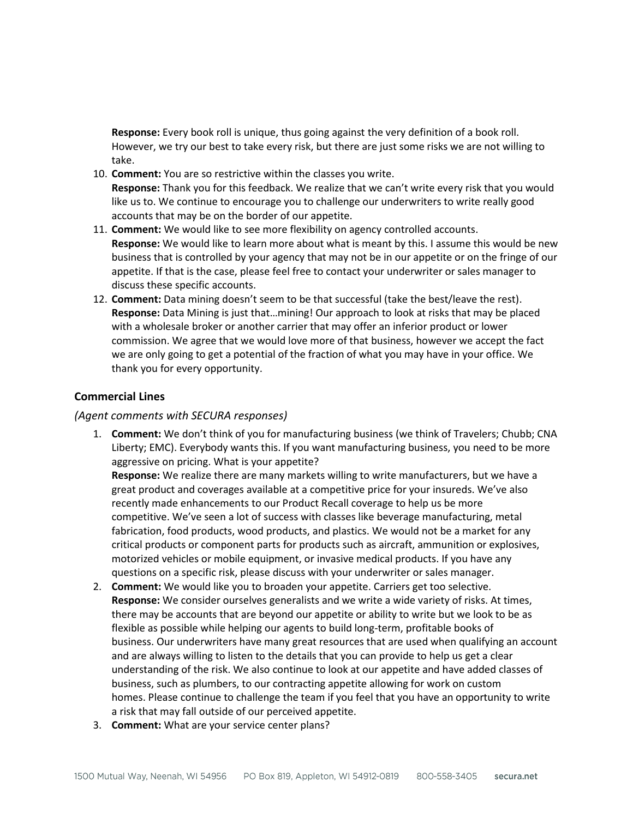**Response:** Every book roll is unique, thus going against the very definition of a book roll. However, we try our best to take every risk, but there are just some risks we are not willing to take.

- 10. **Comment:** You are so restrictive within the classes you write. **Response:** Thank you for this feedback. We realize that we can't write every risk that you would like us to. We continue to encourage you to challenge our underwriters to write really good accounts that may be on the border of our appetite.
- 11. **Comment:** We would like to see more flexibility on agency controlled accounts. **Response:** We would like to learn more about what is meant by this. I assume this would be new business that is controlled by your agency that may not be in our appetite or on the fringe of our appetite. If that is the case, please feel free to contact your underwriter or sales manager to discuss these specific accounts.
- 12. **Comment:** Data mining doesn't seem to be that successful (take the best/leave the rest). **Response:** Data Mining is just that…mining! Our approach to look at risks that may be placed with a wholesale broker or another carrier that may offer an inferior product or lower commission. We agree that we would love more of that business, however we accept the fact we are only going to get a potential of the fraction of what you may have in your office. We thank you for every opportunity.

### **Commercial Lines**

### *(Agent comments with SECURA responses)*

1. **Comment:** We don't think of you for manufacturing business (we think of Travelers; Chubb; CNA Liberty; EMC). Everybody wants this. If you want manufacturing business, you need to be more aggressive on pricing. What is your appetite?

**Response:** We realize there are many markets willing to write manufacturers, but we have a great product and coverages available at a competitive price for your insureds. We've also recently made enhancements to our Product Recall coverage to help us be more competitive. We've seen a lot of success with classes like beverage manufacturing, metal fabrication, food products, wood products, and plastics. We would not be a market for any critical products or component parts for products such as aircraft, ammunition or explosives, motorized vehicles or mobile equipment, or invasive medical products. If you have any questions on a specific risk, please discuss with your underwriter or sales manager.

- 2. **Comment:** We would like you to broaden your appetite. Carriers get too selective. **Response:** We consider ourselves generalists and we write a wide variety of risks. At times, there may be accounts that are beyond our appetite or ability to write but we look to be as flexible as possible while helping our agents to build long-term, profitable books of business. Our underwriters have many great resources that are used when qualifying an account and are always willing to listen to the details that you can provide to help us get a clear understanding of the risk. We also continue to look at our appetite and have added classes of business, such as plumbers, to our contracting appetite allowing for work on custom homes. Please continue to challenge the team if you feel that you have an opportunity to write a risk that may fall outside of our perceived appetite.
- 3. **Comment:** What are your service center plans?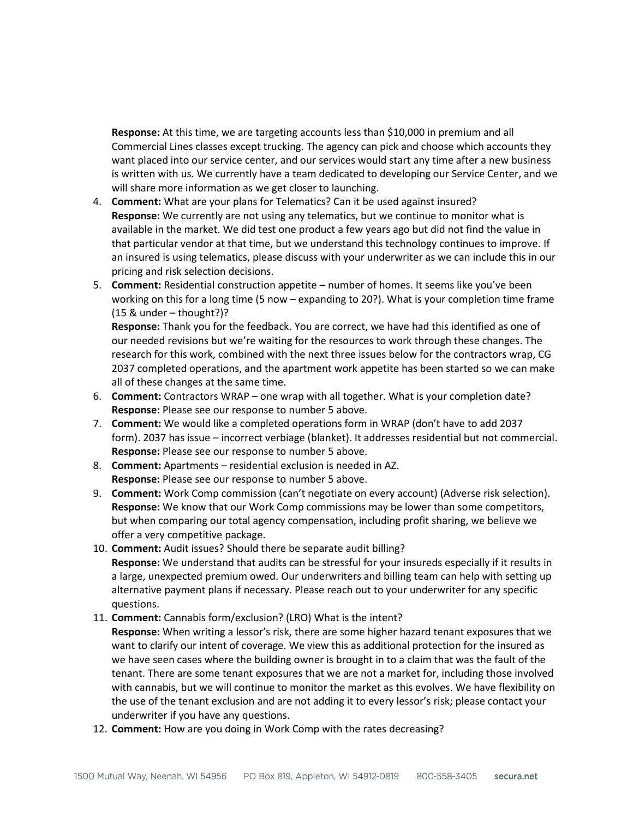**Response:** At this time, we are targeting accounts less than \$10,000 in premium and all Commercial Lines classes except trucking. The agency can pick and choose which accounts they want placed into our service center, and our services would start any time after a new business is written with us. We currently have a team dedicated to developing our Service Center, and we will share more information as we get closer to launching.

- 4. **Comment:** What are your plans for Telematics? Can it be used against insured? **Response:** We currently are not using any telematics, but we continue to monitor what is available in the market. We did test one product a few years ago but did not find the value in that particular vendor at that time, but we understand this technology continues to improve. If an insured is using telematics, please discuss with your underwriter as we can include this in our pricing and risk selection decisions.
- 5. **Comment:** Residential construction appetite number of homes. It seems like you've been working on this for a long time (5 now – expanding to 20?). What is your completion time frame  $(15 & under - thought?)$ ?

**Response:** Thank you for the feedback. You are correct, we have had this identified as one of our needed revisions but we're waiting for the resources to work through these changes. The research for this work, combined with the next three issues below for the contractors wrap, CG 2037 completed operations, and the apartment work appetite has been started so we can make all of these changes at the same time.

- 6. **Comment:** Contractors WRAP one wrap with all together. What is your completion date? **Response:** Please see our response to number 5 above.
- 7. **Comment:** We would like a completed operations form in WRAP (don't have to add 2037 form). 2037 has issue – incorrect verbiage (blanket). It addresses residential but not commercial. **Response:** Please see our response to number 5 above.
- 8. **Comment:** Apartments residential exclusion is needed in AZ. **Response:** Please see our response to number 5 above.
- 9. **Comment:** Work Comp commission (can't negotiate on every account) (Adverse risk selection). **Response:** We know that our Work Comp commissions may be lower than some competitors, but when comparing our total agency compensation, including profit sharing, we believe we offer a very competitive package.
- 10. **Comment:** Audit issues? Should there be separate audit billing? **Response:** We understand that audits can be stressful for your insureds especially if it results in a large, unexpected premium owed. Our underwriters and billing team can help with setting up alternative payment plans if necessary. Please reach out to your underwriter for any specific questions.
- 11. **Comment:** Cannabis form/exclusion? (LRO) What is the intent? **Response:** When writing a lessor's risk, there are some higher hazard tenant exposures that we want to clarify our intent of coverage. We view this as additional protection for the insured as we have seen cases where the building owner is brought in to a claim that was the fault of the tenant. There are some tenant exposures that we are not a market for, including those involved with cannabis, but we will continue to monitor the market as this evolves. We have flexibility on the use of the tenant exclusion and are not adding it to every lessor's risk; please contact your underwriter if you have any questions.
- 12. **Comment:** How are you doing in Work Comp with the rates decreasing?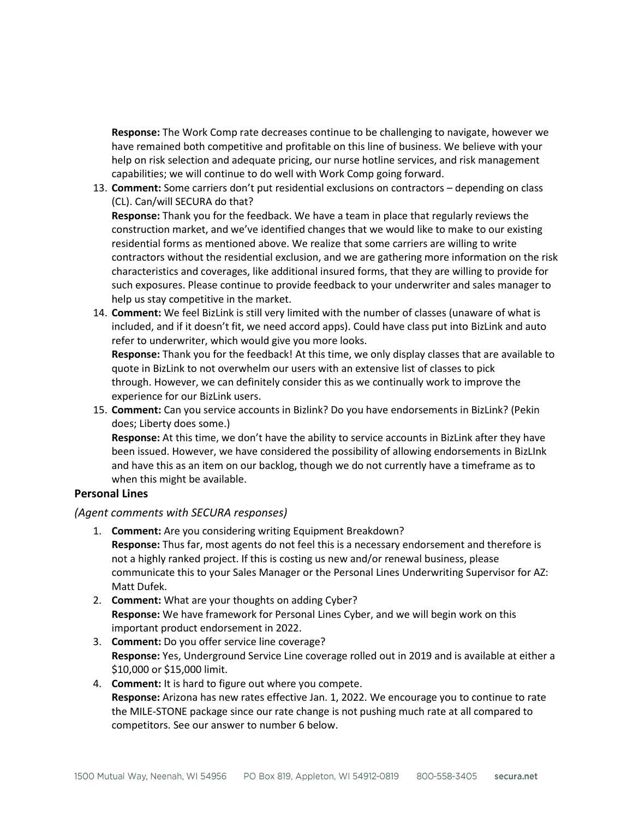**Response:** The Work Comp rate decreases continue to be challenging to navigate, however we have remained both competitive and profitable on this line of business. We believe with your help on risk selection and adequate pricing, our nurse hotline services, and risk management capabilities; we will continue to do well with Work Comp going forward.

13. **Comment:** Some carriers don't put residential exclusions on contractors – depending on class (CL). Can/will SECURA do that?

**Response:** Thank you for the feedback. We have a team in place that regularly reviews the construction market, and we've identified changes that we would like to make to our existing residential forms as mentioned above. We realize that some carriers are willing to write contractors without the residential exclusion, and we are gathering more information on the risk characteristics and coverages, like additional insured forms, that they are willing to provide for such exposures. Please continue to provide feedback to your underwriter and sales manager to help us stay competitive in the market.

14. **Comment:** We feel BizLink is still very limited with the number of classes (unaware of what is included, and if it doesn't fit, we need accord apps). Could have class put into BizLink and auto refer to underwriter, which would give you more looks.

**Response:** Thank you for the feedback! At this time, we only display classes that are available to quote in BizLink to not overwhelm our users with an extensive list of classes to pick through. However, we can definitely consider this as we continually work to improve the experience for our BizLink users.

15. **Comment:** Can you service accounts in Bizlink? Do you have endorsements in BizLink? (Pekin does; Liberty does some.)

**Response:** At this time, we don't have the ability to service accounts in BizLink after they have been issued. However, we have considered the possibility of allowing endorsements in BizLInk and have this as an item on our backlog, though we do not currently have a timeframe as to when this might be available.

### **Personal Lines**

### *(Agent comments with SECURA responses)*

- 1. **Comment:** Are you considering writing Equipment Breakdown? **Response:** Thus far, most agents do not feel this is a necessary endorsement and therefore is not a highly ranked project. If this is costing us new and/or renewal business, please communicate this to your Sales Manager or the Personal Lines Underwriting Supervisor for AZ: Matt Dufek.
- 2. **Comment:** What are your thoughts on adding Cyber? **Response:** We have framework for Personal Lines Cyber, and we will begin work on this important product endorsement in 2022.
- 3. **Comment:** Do you offer service line coverage? **Response:** Yes, Underground Service Line coverage rolled out in 2019 and is available at either a \$10,000 or \$15,000 limit.
- 4. **Comment:** It is hard to figure out where you compete. **Response:** Arizona has new rates effective Jan. 1, 2022. We encourage you to continue to rate the MILE-STONE package since our rate change is not pushing much rate at all compared to competitors. See our answer to number 6 below.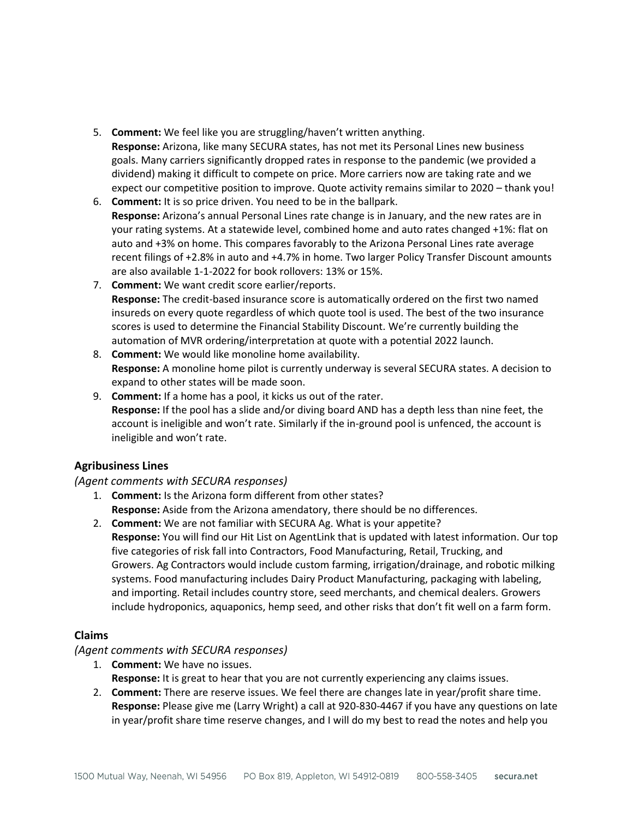- 5. **Comment:** We feel like you are struggling/haven't written anything. **Response:** Arizona, like many SECURA states, has not met its Personal Lines new business goals. Many carriers significantly dropped rates in response to the pandemic (we provided a dividend) making it difficult to compete on price. More carriers now are taking rate and we expect our competitive position to improve. Quote activity remains similar to 2020 – thank you!
- 6. **Comment:** It is so price driven. You need to be in the ballpark. **Response:** Arizona's annual Personal Lines rate change is in January, and the new rates are in your rating systems. At a statewide level, combined home and auto rates changed +1%: flat on auto and +3% on home. This compares favorably to the Arizona Personal Lines rate average recent filings of +2.8% in auto and +4.7% in home. Two larger Policy Transfer Discount amounts are also available 1-1-2022 for book rollovers: 13% or 15%.
- 7. **Comment:** We want credit score earlier/reports. **Response:** The credit-based insurance score is automatically ordered on the first two named insureds on every quote regardless of which quote tool is used. The best of the two insurance scores is used to determine the Financial Stability Discount. We're currently building the automation of MVR ordering/interpretation at quote with a potential 2022 launch.
- 8. **Comment:** We would like monoline home availability. **Response:** A monoline home pilot is currently underway is several SECURA states. A decision to expand to other states will be made soon.
- 9. **Comment:** If a home has a pool, it kicks us out of the rater. **Response:** If the pool has a slide and/or diving board AND has a depth less than nine feet, the account is ineligible and won't rate. Similarly if the in-ground pool is unfenced, the account is ineligible and won't rate.

## **Agribusiness Lines**

## *(Agent comments with SECURA responses)*

- 1. **Comment:** Is the Arizona form different from other states? **Response:** Aside from the Arizona amendatory, there should be no differences.
- 2. **Comment:** We are not familiar with SECURA Ag. What is your appetite? **Response:** You will find our Hit List on AgentLink that is updated with latest information. Our top five categories of risk fall into Contractors, Food Manufacturing, Retail, Trucking, and Growers. Ag Contractors would include custom farming, irrigation/drainage, and robotic milking systems. Food manufacturing includes Dairy Product Manufacturing, packaging with labeling, and importing. Retail includes country store, seed merchants, and chemical dealers. Growers include hydroponics, aquaponics, hemp seed, and other risks that don't fit well on a farm form.

# **Claims**

## *(Agent comments with SECURA responses)*

- 1. **Comment:** We have no issues.
	- **Response:** It is great to hear that you are not currently experiencing any claims issues.
- 2. **Comment:** There are reserve issues. We feel there are changes late in year/profit share time. **Response:** Please give me (Larry Wright) a call at 920-830-4467 if you have any questions on late in year/profit share time reserve changes, and I will do my best to read the notes and help you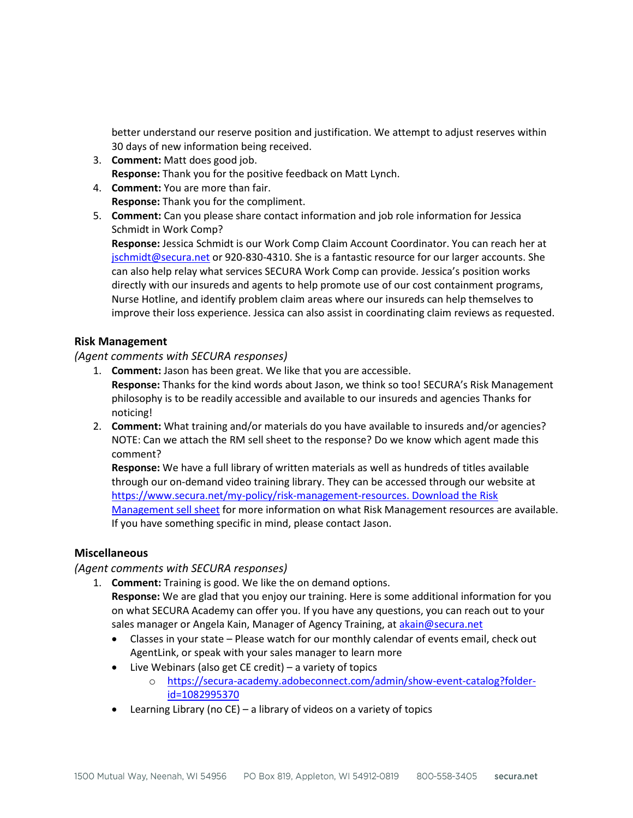better understand our reserve position and justification. We attempt to adjust reserves within 30 days of new information being received.

- 3. **Comment:** Matt does good job. **Response:** Thank you for the positive feedback on Matt Lynch.
- 4. **Comment:** You are more than fair. **Response:** Thank you for the compliment.
- 5. **Comment:** Can you please share contact information and job role information for Jessica Schmidt in Work Comp?

**Response:** Jessica Schmidt is our Work Comp Claim Account Coordinator. You can reach her at [jschmidt@secura.net](mailto:jschmidt@secura.net) or 920-830-4310. She is a fantastic resource for our larger accounts. She can also help relay what services SECURA Work Comp can provide. Jessica's position works directly with our insureds and agents to help promote use of our cost containment programs, Nurse Hotline, and identify problem claim areas where our insureds can help themselves to improve their loss experience. Jessica can also assist in coordinating claim reviews as requested.

## **Risk Management**

## *(Agent comments with SECURA responses)*

- 1. **Comment:** Jason has been great. We like that you are accessible. **Response:** Thanks for the kind words about Jason, we think so too! SECURA's Risk Management philosophy is to be readily accessible and available to our insureds and agencies Thanks for noticing!
- 2. **Comment:** What training and/or materials do you have available to insureds and/or agencies? NOTE: Can we attach the RM sell sheet to the response? Do we know which agent made this comment?

**Response:** We have a full library of written materials as well as hundreds of titles available through our on-demand video training library. They can be accessed through our website at [https://www.secura.net/my-policy/risk-management-resources.](https://www.secura.net/my-policy/risk-management-resources) [Download the Risk](https://agentlink.secura.net/AgentLink/Home/ResourcesRedirect?returnUrl=https://resources.secura.net/risk-management-sell-sheet)  [Management sell sheet](https://agentlink.secura.net/AgentLink/Home/ResourcesRedirect?returnUrl=https://resources.secura.net/risk-management-sell-sheet) for more information on what Risk Management resources are available. If you have something specific in mind, please contact Jason.

### **Miscellaneous**

## *(Agent comments with SECURA responses)*

- 1. **Comment:** Training is good. We like the on demand options. **Response:** We are glad that you enjoy our training. Here is some additional information for you on what SECURA Academy can offer you. If you have any questions, you can reach out to your sales manager or Angela Kain, Manager of Agency Training, at [akain@secura.net](mailto:akain@secura.net)
	- Classes in your state Please watch for our monthly calendar of events email, check out AgentLink, or speak with your sales manager to learn more
	- Live Webinars (also get CE credit) a variety of topics
		- o [https://secura-academy.adobeconnect.com/admin/show-event-catalog?folder](https://secura-academy.adobeconnect.com/admin/show-event-catalog?folder-id=1082995370)[id=1082995370](https://secura-academy.adobeconnect.com/admin/show-event-catalog?folder-id=1082995370)
	- Learning Library (no CE) a library of videos on a variety of topics